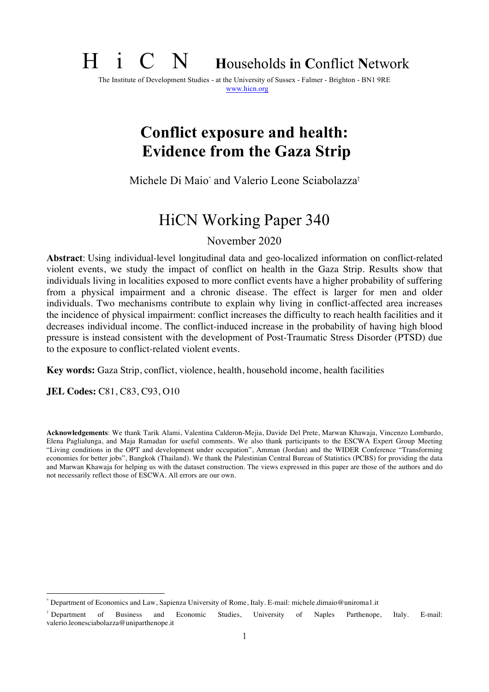# H i C N **<sup>H</sup>**ouseholds **i**n **C**onflict **<sup>N</sup>**etwork

The Institute of Development Studies - at the University of Sussex - Falmer - Brighton - BN1 9RE www.hicn.org

# **Conflict exposure and health: Evidence from the Gaza Strip**

Michele Di Maio\* and Valerio Leone Sciabolazza†

# HiCN Working Paper 340

November 2020

**Abstract**: Using individual-level longitudinal data and geo-localized information on conflict-related violent events, we study the impact of conflict on health in the Gaza Strip. Results show that individuals living in localities exposed to more conflict events have a higher probability of suffering from a physical impairment and a chronic disease. The effect is larger for men and older individuals. Two mechanisms contribute to explain why living in conflict-affected area increases the incidence of physical impairment: conflict increases the difficulty to reach health facilities and it decreases individual income. The conflict-induced increase in the probability of having high blood pressure is instead consistent with the development of Post-Traumatic Stress Disorder (PTSD) due to the exposure to conflict-related violent events.

**Key words:** Gaza Strip, conflict, violence, health, household income, health facilities

**JEL Codes:** C81, C83, C93, O10

 $\overline{a}$ 

**Acknowledgements**: We thank Tarik Alami, Valentina Calderon-Mejia, Davide Del Prete, Marwan Khawaja, Vincenzo Lombardo, Elena Paglialunga, and Maja Ramadan for useful comments. We also thank participants to the ESCWA Expert Group Meeting "Living conditions in the OPT and development under occupation", Amman (Jordan) and the WIDER Conference "Transforming economies for better jobs", Bangkok (Thailand). We thank the Palestinian Central Bureau of Statistics (PCBS) for providing the data and Marwan Khawaja for helping us with the dataset construction. The views expressed in this paper are those of the authors and do not necessarily reflect those of ESCWA. All errors are our own.

<sup>\*</sup> Department of Economics and Law, Sapienza University of Rome, Italy. E-mail: michele.dimaio@uniroma1.it

<sup>†</sup> Department of Business and Economic Studies, University of Naples Parthenope, Italy. E-mail: valerio.leonesciabolazza@uniparthenope.it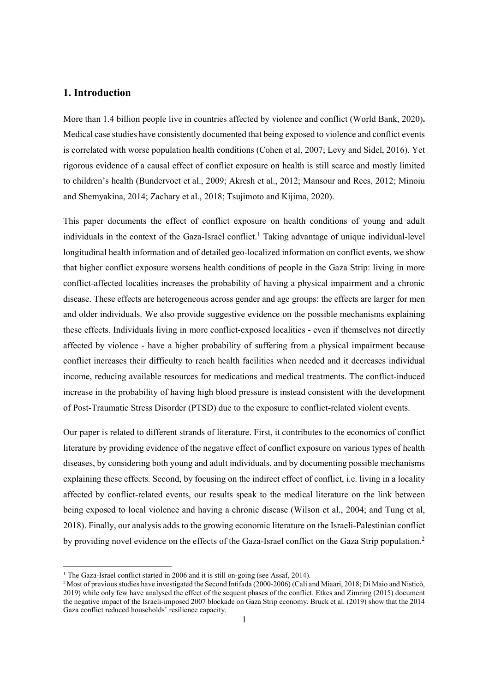# **1. Introduction**

More than 1.4 billion people live in countries affected by violence and conflict (World Bank, 2020)**.**  Medical case studies have consistently documented that being exposed to violence and conflict events is correlated with worse population health conditions (Cohen et al, 2007; Levy and Sidel, 2016). Yet rigorous evidence of a causal effect of conflict exposure on health is still scarce and mostly limited to children's health (Bundervoet et al., 2009; Akresh et al., 2012; Mansour and Rees, 2012; Minoiu and Shemyakina, 2014; Zachary et al., 2018; Tsujimoto and Kijima, 2020).

This paper documents the effect of conflict exposure on health conditions of young and adult individuals in the context of the Gaza-Israel conflict.<sup>1</sup> Taking advantage of unique individual-level longitudinal health information and of detailed geo-localized information on conflict events, we show that higher conflict exposure worsens health conditions of people in the Gaza Strip: living in more conflict-affected localities increases the probability of having a physical impairment and a chronic disease. These effects are heterogeneous across gender and age groups: the effects are larger for men and older individuals. We also provide suggestive evidence on the possible mechanisms explaining these effects. Individuals living in more conflict-exposed localities - even if themselves not directly affected by violence - have a higher probability of suffering from a physical impairment because conflict increases their difficulty to reach health facilities when needed and it decreases individual income, reducing available resources for medications and medical treatments. The conflict-induced increase in the probability of having high blood pressure is instead consistent with the development of Post-Traumatic Stress Disorder (PTSD) due to the exposure to conflict-related violent events.

Our paper is related to different strands of literature. First, it contributes to the economics of conflict literature by providing evidence of the negative effect of conflict exposure on various types of health diseases, by considering both young and adult individuals, and by documenting possible mechanisms explaining these effects. Second, by focusing on the indirect effect of conflict, i.e. living in a locality affected by conflict-related events, our results speak to the medical literature on the link between being exposed to local violence and having a chronic disease (Wilson et al., 2004; and Tung et al, 2018). Finally, our analysis adds to the growing economic literature on the Israeli-Palestinian conflict by providing novel evidence on the effects of the Gaza-Israel conflict on the Gaza Strip population.<sup>2</sup>

l

<sup>&</sup>lt;sup>1</sup> The Gaza-Israel conflict started in 2006 and it is still on-going (see Assaf, 2014).

<sup>2</sup> Most of previous studies have investigated the Second Intifada (2000-2006) (Cali and Miaari, 2018; Di Maio and Nisticò, 2019) while only few have analysed the effect of the sequent phases of the conflict. Etkes and Zimring (2015) document the negative impact of the Israeli-imposed 2007 blockade on Gaza Strip economy. Bruck et al. (2019) show that the 2014 Gaza conflict reduced households' resilience capacity.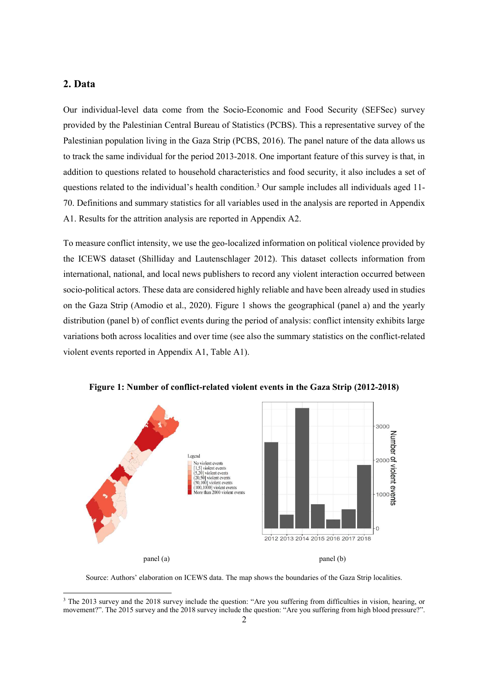# **2. Data**

l

Our individual-level data come from the Socio-Economic and Food Security (SEFSec) survey provided by the Palestinian Central Bureau of Statistics (PCBS). This a representative survey of the Palestinian population living in the Gaza Strip (PCBS, 2016). The panel nature of the data allows us to track the same individual for the period 2013-2018. One important feature of this survey is that, in addition to questions related to household characteristics and food security, it also includes a set of questions related to the individual's health condition.3 Our sample includes all individuals aged 11- 70. Definitions and summary statistics for all variables used in the analysis are reported in Appendix A1. Results for the attrition analysis are reported in Appendix A2.

To measure conflict intensity, we use the geo-localized information on political violence provided by the ICEWS dataset (Shilliday and Lautenschlager 2012). This dataset collects information from international, national, and local news publishers to record any violent interaction occurred between socio-political actors. These data are considered highly reliable and have been already used in studies on the Gaza Strip (Amodio et al., 2020). Figure 1 shows the geographical (panel a) and the yearly distribution (panel b) of conflict events during the period of analysis: conflict intensity exhibits large variations both across localities and over time (see also the summary statistics on the conflict-related violent events reported in Appendix A1, Table A1).



**Figure 1: Number of conflict-related violent events in the Gaza Strip (2012-2018)** 

Source: Authors' elaboration on ICEWS data. The map shows the boundaries of the Gaza Strip localities.

<sup>&</sup>lt;sup>3</sup> The 2013 survey and the 2018 survey include the question: "Are you suffering from difficulties in vision, hearing, or movement?". The 2015 survey and the 2018 survey include the question: "Are you suffering from high blood pressure?".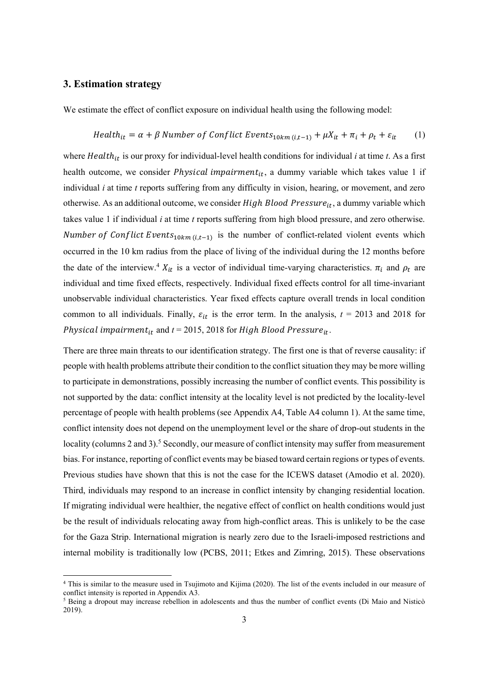### **3. Estimation strategy**

l

We estimate the effect of conflict exposure on individual health using the following model:

$$
Health_{it} = \alpha + \beta Number of Conflict Events_{10km(i,t-1)} + \mu X_{it} + \pi_i + \rho_t + \varepsilon_{it}
$$
 (1)

where *Health<sub>it</sub>* is our proxy for individual-level health conditions for individual *i* at time *t*. As a first health outcome, we consider *Physical impairment<sub>it</sub>*, a dummy variable which takes value 1 if individual *i* at time *t* reports suffering from any difficulty in vision, hearing, or movement, and zero otherwise. As an additional outcome, we consider  $High\, Blood\, Pressure_{it},$  a dummy variable which takes value 1 if individual *i* at time *t* reports suffering from high blood pressure, and zero otherwise. Number of Conflict Events<sub>10km (i,t-1)</sub> is the number of conflict-related violent events which occurred in the 10 km radius from the place of living of the individual during the 12 months before the date of the interview.<sup>4</sup>  $X_{it}$  is a vector of individual time-varying characteristics.  $\pi_i$  and  $\rho_t$  are individual and time fixed effects, respectively. Individual fixed effects control for all time-invariant unobservable individual characteristics. Year fixed effects capture overall trends in local condition common to all individuals. Finally,  $\varepsilon_{it}$  is the error term. In the analysis,  $t = 2013$  and 2018 for *Physical impairment*<sub>it</sub> and  $t = 2015$ , 2018 for High Blood Pressure<sub>it</sub>.

There are three main threats to our identification strategy. The first one is that of reverse causality: if people with health problems attribute their condition to the conflict situation they may be more willing to participate in demonstrations, possibly increasing the number of conflict events. This possibility is not supported by the data: conflict intensity at the locality level is not predicted by the locality-level percentage of people with health problems (see Appendix A4, Table A4 column 1). At the same time, conflict intensity does not depend on the unemployment level or the share of drop-out students in the locality (columns 2 and 3).<sup>5</sup> Secondly, our measure of conflict intensity may suffer from measurement bias. For instance, reporting of conflict events may be biased toward certain regions or types of events. Previous studies have shown that this is not the case for the ICEWS dataset (Amodio et al. 2020). Third, individuals may respond to an increase in conflict intensity by changing residential location. If migrating individual were healthier, the negative effect of conflict on health conditions would just be the result of individuals relocating away from high-conflict areas. This is unlikely to be the case for the Gaza Strip. International migration is nearly zero due to the Israeli-imposed restrictions and internal mobility is traditionally low (PCBS, 2011; Etkes and Zimring, 2015). These observations

<sup>4</sup> This is similar to the measure used in Tsujimoto and Kijima (2020). The list of the events included in our measure of conflict intensity is reported in Appendix A3.

<sup>&</sup>lt;sup>5</sup> Being a dropout may increase rebellion in adolescents and thus the number of conflict events (Di Maio and Nisticò 2019).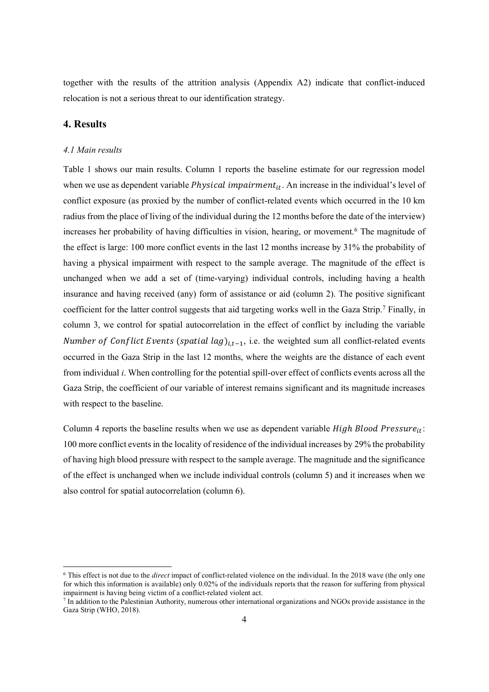together with the results of the attrition analysis (Appendix A2) indicate that conflict-induced relocation is not a serious threat to our identification strategy.

# **4. Results**

l

#### *4.1 Main results*

Table 1 shows our main results. Column 1 reports the baseline estimate for our regression model when we use as dependent variable *Physical impairment<sub>it</sub>*. An increase in the individual's level of conflict exposure (as proxied by the number of conflict-related events which occurred in the 10 km radius from the place of living of the individual during the 12 months before the date of the interview) increases her probability of having difficulties in vision, hearing, or movement.6 The magnitude of the effect is large: 100 more conflict events in the last 12 months increase by 31% the probability of having a physical impairment with respect to the sample average. The magnitude of the effect is unchanged when we add a set of (time-varying) individual controls, including having a health insurance and having received (any) form of assistance or aid (column 2). The positive significant coefficient for the latter control suggests that aid targeting works well in the Gaza Strip.<sup>7</sup> Finally, in column 3, we control for spatial autocorrelation in the effect of conflict by including the variable Number of Conflict Events (spatial lag) $_{i,t-1}$ , i.e. the weighted sum all conflict-related events occurred in the Gaza Strip in the last 12 months, where the weights are the distance of each event from individual *i*. When controlling for the potential spill-over effect of conflicts events across all the Gaza Strip, the coefficient of our variable of interest remains significant and its magnitude increases with respect to the baseline.

Column 4 reports the baseline results when we use as dependent variable  $High Blood Pressure_{it}:$ 100 more conflict events in the locality of residence of the individual increases by 29% the probability of having high blood pressure with respect to the sample average. The magnitude and the significance of the effect is unchanged when we include individual controls (column 5) and it increases when we also control for spatial autocorrelation (column 6).

<sup>6</sup> This effect is not due to the *direct* impact of conflict-related violence on the individual. In the 2018 wave (the only one for which this information is available) only 0.02% of the individuals reports that the reason for suffering from physical impairment is having being victim of a conflict-related violent act.

<sup>7</sup> In addition to the Palestinian Authority, numerous other international organizations and NGOs provide assistance in the Gaza Strip (WHO, 2018).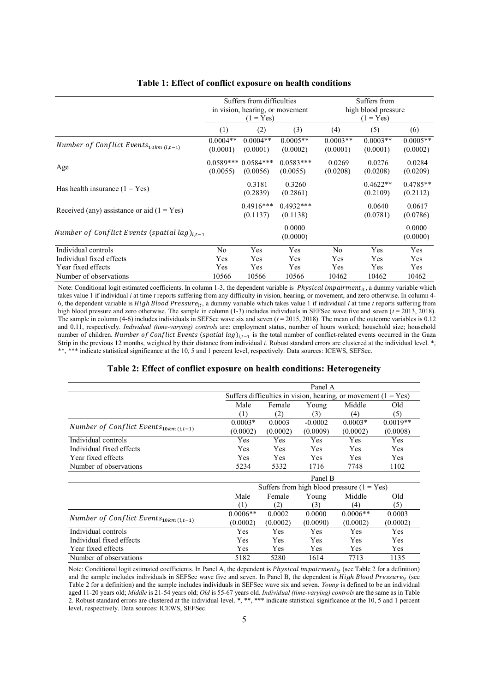|                                                    | Suffers from difficulties       |                         |                         | Suffers from<br>high blood pressure |                        |                        |
|----------------------------------------------------|---------------------------------|-------------------------|-------------------------|-------------------------------------|------------------------|------------------------|
|                                                    | in vision, hearing, or movement |                         |                         |                                     |                        |                        |
|                                                    |                                 | $(1 = Yes)$             |                         | $(1 = Yes)$                         |                        |                        |
|                                                    | (1)                             | (2)                     | (3)                     | (4)                                 | (5)                    | (6)                    |
| Number of Conflict Events $_{10km}$ (i,t-1)        | $0.0004**$<br>(0.0001)          | $0.0004**$<br>(0.0001)  | $0.0005**$<br>(0.0002)  | $0.0003**$<br>(0.0001)              | $0.0003**$<br>(0.0001) | $0.0005**$<br>(0.0002) |
| Age                                                | $0.0589***$<br>(0.0055)         | $0.0584***$<br>(0.0056) | $0.0583***$<br>(0.0055) | 0.0269<br>(0.0208)                  | 0.0276<br>(0.0208)     | 0.0284<br>(0.0209)     |
| Has health insurance $(1 = Yes)$                   |                                 | 0.3181<br>(0.2839)      | 0.3260<br>(0.2861)      |                                     | $0.4622**$<br>(0.2109) | $0.4785**$<br>(0.2112) |
| Received (any) assistance or aid $(1 = Yes)$       |                                 | $0.4916***$<br>(0.1137) | $0.4932***$<br>(0.1138) |                                     | 0.0640<br>(0.0781)     | 0.0617<br>(0.0786)     |
| Number of Conflict Events (spatial lag) $_{i,t-1}$ |                                 |                         | 0.0000<br>(0.0000)      |                                     |                        | 0.0000<br>(0.0000)     |
| Individual controls                                | No                              | Yes                     | Yes                     | No                                  | Yes                    | Yes                    |
| Individual fixed effects                           | Yes                             | Yes                     | Yes                     | Yes                                 | Yes                    | Yes                    |
| Year fixed effects                                 | Yes                             | Yes                     | Yes                     | Yes                                 | Yes                    | Yes                    |
| Number of observations                             | 10566                           | 10566                   | 10566                   | 10462                               | 10462                  | 10462                  |

#### **Table 1: Effect of conflict exposure on health conditions**

Note: Conditional logit estimated coefficients. In column 1-3, the dependent variable is *Physical impairment<sub>it</sub>*, a dummy variable which takes value 1 if individual *i* at time *t* reports suffering from any difficulty in vision, hearing, or movement, and zero otherwise. In column 4- 6, the dependent variable is  $High Blood Pressure_{it}$ , a dummy variable which takes value 1 if individual *i* at time *t* reports suffering from high blood pressure and zero otherwise. The sample in column (1-3) includes individuals in SEFSec wave five and seven (*t* = 2013, 2018). The sample in column (4-6) includes individuals in SEFSec wave six and seven (*t* = 2015, 2018). The mean of the outcome variables is 0.12 and 0.11, respectively. *Individual (time-varying) controls* are: employment status, number of hours worked; household size; household number of children. Number of Conflict Events (spatial  $lag$ )<sub>i,t-1</sub> is the total number of conflict-related events occurred in the Gaza Strip in the previous 12 months, weighted by their distance from individual *i*. Robust standard errors are clustered at the individual level. \*, \*\* indicate statistical significance at the 10, 5 and 1 percent level, respectively. Data sources: ICEWS, SEFSec.

#### **Table 2: Effect of conflict exposure on health conditions: Heterogeneity**

|                                             |                                                                      | Panel A                   |            |                                              |            |  |
|---------------------------------------------|----------------------------------------------------------------------|---------------------------|------------|----------------------------------------------|------------|--|
|                                             | Suffers difficulties in vision, hearing, or movement (1)<br>$=$ Yes) |                           |            |                                              |            |  |
|                                             | Male                                                                 | Middle<br>Female<br>Young |            |                                              | Old        |  |
|                                             | (1)                                                                  | (2)                       | (3)        | (4)                                          | (5)        |  |
| Number of Conflict Events $_{10km}$ (i,t-1) | $0.0003*$                                                            | 0.0003                    | $-0.0002$  | $0.0003*$                                    | $0.0019**$ |  |
|                                             | (0.0002)                                                             | (0.0002)                  | (0.0009)   | (0.0002)                                     | (0.0008)   |  |
| Individual controls                         | Yes                                                                  | <b>Yes</b>                | Yes        | Yes                                          | Yes        |  |
| Individual fixed effects                    | Yes                                                                  | Yes                       | Yes        | Yes                                          | Yes        |  |
| Year fixed effects                          | Yes                                                                  | <b>Yes</b>                | Yes        | Yes                                          | Yes        |  |
| Number of observations                      | 5234                                                                 | 5332                      | 1716       | 7748                                         | 1102       |  |
|                                             |                                                                      |                           | Panel B    |                                              |            |  |
|                                             |                                                                      |                           |            | Suffers from high blood pressure $(1 = Yes)$ |            |  |
|                                             | Male                                                                 | Female                    | Young      | Middle                                       | Old        |  |
|                                             | (1)                                                                  | (2)                       | (3)        | (4)                                          | (5)        |  |
|                                             | $0.0006**$                                                           | 0.0002                    | 0.0000     | $0.0006**$                                   | 0.0003     |  |
| Number of Conflict Events $_{10km}$ (i,t-1) | (0.0002)                                                             | (0.0002)                  | (0.0090)   | (0.0002)                                     | (0.0002)   |  |
| Individual controls                         | Yes                                                                  | <b>Yes</b>                | <b>Yes</b> | <b>Yes</b>                                   | Yes        |  |
| Individual fixed effects                    | <b>Yes</b>                                                           | <b>Yes</b>                | <b>Yes</b> | <b>Yes</b>                                   | Yes        |  |
| Year fixed effects                          | Yes                                                                  | Yes                       | Yes        | <b>Yes</b>                                   | Yes        |  |
| Number of observations                      | 5182                                                                 | 5280                      | 1614       | 7713                                         | 1135       |  |

Note: Conditional logit estimated coefficients. In Panel A, the dependent is  $Physical\; impairment_{it}$  (see Table 2 for a definition) and the sample includes individuals in SEFSec wave five and seven. In Panel B, the dependent is  $High Blood Pressure_{it}$  (see Table 2 for a definition) and the sample includes individuals in SEFSec wave six and seven. *Young* is defined to be an individual aged 11-20 years old; *Middle* is 21-54 years old; *Old* is 55-67 years old. *Individual (time-varying) controls* are the same as in Table 2. Robust standard errors are clustered at the individual level. \*, \*\*, \*\*\* indicate statistical significance at the 10, 5 and 1 percent level, respectively. Data sources: ICEWS, SEFSec.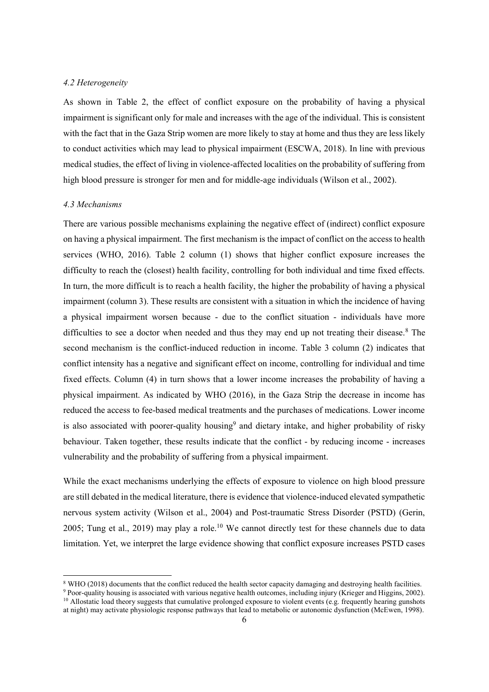#### *4.2 Heterogeneity*

As shown in Table 2, the effect of conflict exposure on the probability of having a physical impairment is significant only for male and increases with the age of the individual. This is consistent with the fact that in the Gaza Strip women are more likely to stay at home and thus they are less likely to conduct activities which may lead to physical impairment (ESCWA, 2018). In line with previous medical studies, the effect of living in violence-affected localities on the probability of suffering from high blood pressure is stronger for men and for middle-age individuals (Wilson et al., 2002).

#### *4.3 Mechanisms*

l

There are various possible mechanisms explaining the negative effect of (indirect) conflict exposure on having a physical impairment. The first mechanism is the impact of conflict on the access to health services (WHO, 2016). Table 2 column (1) shows that higher conflict exposure increases the difficulty to reach the (closest) health facility, controlling for both individual and time fixed effects. In turn, the more difficult is to reach a health facility, the higher the probability of having a physical impairment (column 3). These results are consistent with a situation in which the incidence of having a physical impairment worsen because - due to the conflict situation - individuals have more difficulties to see a doctor when needed and thus they may end up not treating their disease.<sup>8</sup> The second mechanism is the conflict-induced reduction in income. Table 3 column (2) indicates that conflict intensity has a negative and significant effect on income, controlling for individual and time fixed effects. Column (4) in turn shows that a lower income increases the probability of having a physical impairment. As indicated by WHO (2016), in the Gaza Strip the decrease in income has reduced the access to fee-based medical treatments and the purchases of medications. Lower income is also associated with poorer-quality housing<sup>9</sup> and dietary intake, and higher probability of risky behaviour. Taken together, these results indicate that the conflict - by reducing income - increases vulnerability and the probability of suffering from a physical impairment.

While the exact mechanisms underlying the effects of exposure to violence on high blood pressure are still debated in the medical literature, there is evidence that violence-induced elevated sympathetic nervous system activity (Wilson et al., 2004) and Post-traumatic Stress Disorder (PSTD) (Gerin, 2005; Tung et al., 2019) may play a role.<sup>10</sup> We cannot directly test for these channels due to data limitation. Yet, we interpret the large evidence showing that conflict exposure increases PSTD cases

<sup>&</sup>lt;sup>8</sup> WHO (2018) documents that the conflict reduced the health sector capacity damaging and destroying health facilities.

<sup>9</sup> Poor-quality housing is associated with various negative health outcomes, including injury (Krieger and Higgins, 2002). <sup>10</sup> Allostatic load theory suggests that cumulative prolonged exposure to violent events (e.g. frequently hearing gunshots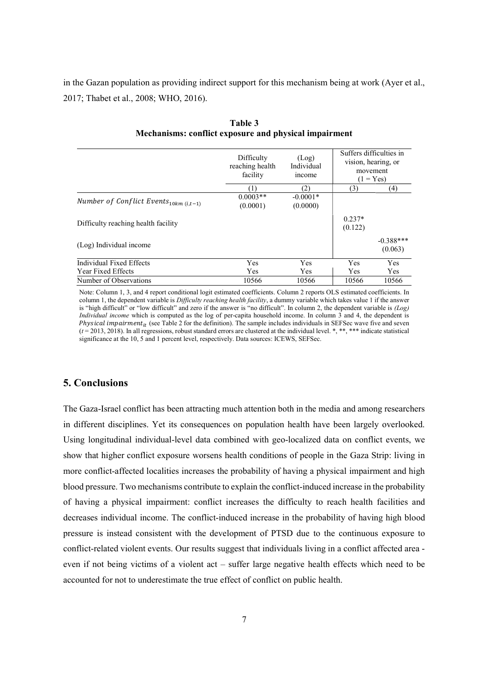in the Gazan population as providing indirect support for this mechanism being at work (Ayer et al., 2017; Thabet et al., 2008; WHO, 2016).

|                                             | Difficulty<br>reaching health<br>facility | (Log)<br>Individual<br>income | Suffers difficulties in<br>vision, hearing, or<br>movement<br>$(1 = Yes)$ |                        |  |
|---------------------------------------------|-------------------------------------------|-------------------------------|---------------------------------------------------------------------------|------------------------|--|
|                                             | (1)                                       | (2)                           | (3)                                                                       | (4)                    |  |
| Number of Conflict Events $_{10km}$ (i,t-1) | $0.0003**$<br>(0.0001)                    | $-0.0001*$<br>(0.0000)        |                                                                           |                        |  |
| Difficulty reaching health facility         |                                           |                               | $0.237*$<br>(0.122)                                                       |                        |  |
| (Log) Individual income                     |                                           |                               |                                                                           | $-0.388***$<br>(0.063) |  |
| Individual Fixed Effects                    | Yes                                       | <b>Yes</b>                    | Yes                                                                       | Yes                    |  |
| <b>Year Fixed Effects</b>                   | Yes                                       | <b>Yes</b>                    | <b>Yes</b>                                                                | <b>Yes</b>             |  |
| Number of Observations                      | 10566                                     | 10566                         | 10566                                                                     | 10566                  |  |

**Table 3 Mechanisms: conflict exposure and physical impairment** 

Note: Column 1, 3, and 4 report conditional logit estimated coefficients. Column 2 reports OLS estimated coefficients. In column 1, the dependent variable is *Difficulty reaching health facility*, a dummy variable which takes value 1 if the answer is "high difficult" or "low difficult" and zero if the answer is "no difficult". In column 2, the dependent variable is *(Log) Individual income* which is computed as the log of per-capita household income. In column 3 and 4, the dependent is Physical impairment<sub>it</sub> (see Table 2 for the definition). The sample includes individuals in SEFSec wave five and seven (*t* = 2013, 2018). In all regressions, robust standard errors are clustered at the individual level. \*, \*\*, \*\*\* indicate statistical significance at the 10, 5 and 1 percent level, respectively. Data sources: ICEWS, SEFSec.

# **5. Conclusions**

The Gaza-Israel conflict has been attracting much attention both in the media and among researchers in different disciplines. Yet its consequences on population health have been largely overlooked. Using longitudinal individual-level data combined with geo-localized data on conflict events, we show that higher conflict exposure worsens health conditions of people in the Gaza Strip: living in more conflict-affected localities increases the probability of having a physical impairment and high blood pressure. Two mechanisms contribute to explain the conflict-induced increase in the probability of having a physical impairment: conflict increases the difficulty to reach health facilities and decreases individual income. The conflict-induced increase in the probability of having high blood pressure is instead consistent with the development of PTSD due to the continuous exposure to conflict-related violent events. Our results suggest that individuals living in a conflict affected area even if not being victims of a violent act – suffer large negative health effects which need to be accounted for not to underestimate the true effect of conflict on public health.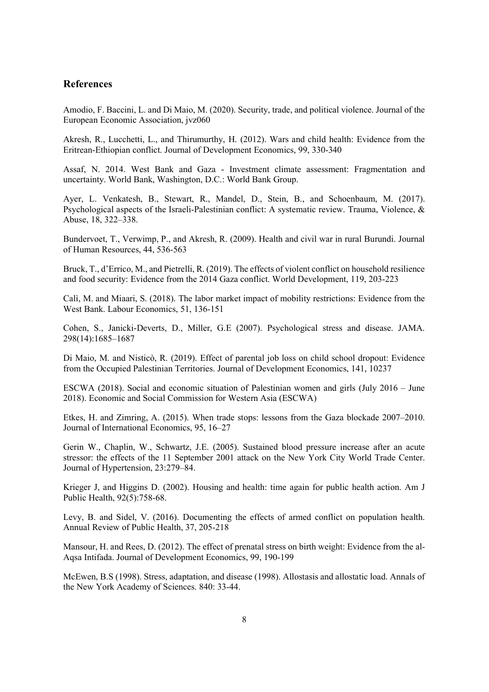### **References**

Amodio, F. Baccini, L. and Di Maio, M. (2020). Security, trade, and political violence. Journal of the European Economic Association, jvz060

Akresh, R., Lucchetti, L., and Thirumurthy, H. (2012). Wars and child health: Evidence from the Eritrean-Ethiopian conflict. Journal of Development Economics, 99, 330-340

Assaf, N. 2014. West Bank and Gaza - Investment climate assessment: Fragmentation and uncertainty. World Bank, Washington, D.C.: World Bank Group.

Ayer, L. Venkatesh, B., Stewart, R., Mandel, D., Stein, B., and Schoenbaum, M. (2017). Psychological aspects of the Israeli-Palestinian conflict: A systematic review. Trauma, Violence, & Abuse, 18, 322–338.

Bundervoet, T., Verwimp, P., and Akresh, R. (2009). Health and civil war in rural Burundi. Journal of Human Resources, 44, 536-563

Bruck, T., d'Errico, M., and Pietrelli, R. (2019). The effects of violent conflict on household resilience and food security: Evidence from the 2014 Gaza conflict. World Development, 119, 203-223

Calì, M. and Miaari, S. (2018). The labor market impact of mobility restrictions: Evidence from the West Bank. Labour Economics, 51, 136-151

Cohen, S., Janicki-Deverts, D., Miller, G.E (2007). Psychological stress and disease. JAMA. 298(14):1685–1687

Di Maio, M. and Nisticò, R. (2019). Effect of parental job loss on child school dropout: Evidence from the Occupied Palestinian Territories. Journal of Development Economics, 141, 10237

ESCWA (2018). Social and economic situation of Palestinian women and girls (July 2016 – June 2018). Economic and Social Commission for Western Asia (ESCWA)

Etkes, H. and Zimring, A. (2015). When trade stops: lessons from the Gaza blockade 2007–2010. Journal of International Economics, 95, 16–27

Gerin W., Chaplin, W., Schwartz, J.E. (2005). Sustained blood pressure increase after an acute stressor: the effects of the 11 September 2001 attack on the New York City World Trade Center. Journal of Hypertension, 23:279–84.

Krieger J, and Higgins D. (2002). Housing and health: time again for public health action. Am J Public Health, 92(5):758-68.

Levy, B. and Sidel, V. (2016). Documenting the effects of armed conflict on population health. Annual Review of Public Health, 37, 205-218

Mansour, H. and Rees, D. (2012). The effect of prenatal stress on birth weight: Evidence from the al-Aqsa Intifada. Journal of Development Economics, 99, 190-199

McEwen, B.S (1998). Stress, adaptation, and disease (1998). Allostasis and allostatic load. Annals of the New York Academy of Sciences. 840: 33-44.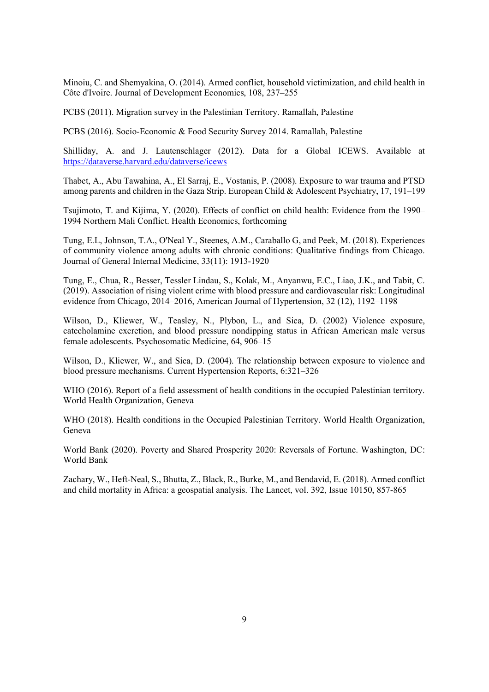Minoiu, C. and Shemyakina, O. (2014). Armed conflict, household victimization, and child health in Côte d'Ivoire. Journal of Development Economics, 108, 237–255

PCBS (2011). Migration survey in the Palestinian Territory. Ramallah, Palestine

PCBS (2016). Socio-Economic & Food Security Survey 2014. Ramallah, Palestine

Shilliday, A. and J. Lautenschlager (2012). Data for a Global ICEWS. Available at https://dataverse.harvard.edu/dataverse/icews

Thabet, A., Abu Tawahina, A., El Sarraj, E., Vostanis, P. (2008). Exposure to war trauma and PTSD among parents and children in the Gaza Strip. European Child & Adolescent Psychiatry, 17, 191–199

Tsujimoto, T. and Kijima, Y. (2020). Effects of conflict on child health: Evidence from the 1990– 1994 Northern Mali Conflict. Health Economics, forthcoming

Tung, E.L, Johnson, T.A., O'Neal Y., Steenes, A.M., Caraballo G, and Peek, M. (2018). Experiences of community violence among adults with chronic conditions: Qualitative findings from Chicago. Journal of General Internal Medicine, 33(11): 1913-1920

Tung, E., Chua, R., Besser, Tessler Lindau, S., Kolak, M., Anyanwu, E.C., Liao, J.K., and Tabit, C. (2019). Association of rising violent crime with blood pressure and cardiovascular risk: Longitudinal evidence from Chicago, 2014–2016, American Journal of Hypertension, 32 (12), 1192–1198

Wilson, D., Kliewer, W., Teasley, N., Plybon, L., and Sica, D. (2002) Violence exposure, catecholamine excretion, and blood pressure nondipping status in African American male versus female adolescents. Psychosomatic Medicine, 64, 906–15

Wilson, D., Kliewer, W., and Sica, D. (2004). The relationship between exposure to violence and blood pressure mechanisms. Current Hypertension Reports, 6:321–326

WHO (2016). Report of a field assessment of health conditions in the occupied Palestinian territory. World Health Organization, Geneva

WHO (2018). Health conditions in the Occupied Palestinian Territory. World Health Organization, Geneva

World Bank (2020). Poverty and Shared Prosperity 2020: Reversals of Fortune. Washington, DC: World Bank

Zachary, W., Heft-Neal, S., Bhutta, Z., Black, R., Burke, M., and Bendavid, E. (2018). Armed conflict and child mortality in Africa: a geospatial analysis. The Lancet, vol. 392, Issue 10150, 857-865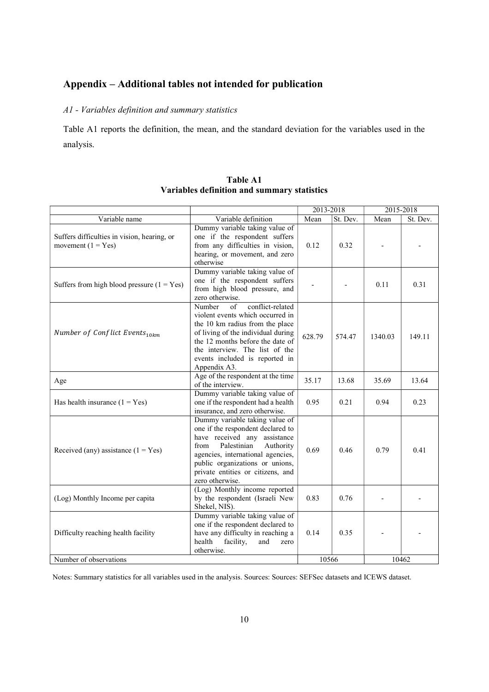# **Appendix – Additional tables not intended for publication**

# *A1 - Variables definition and summary statistics*

Table A1 reports the definition, the mean, and the standard deviation for the variables used in the analysis.

|                                                                     |                                                                                                                                                                                                                                                                               | 2013-2018 |          | 2015-2018 |          |
|---------------------------------------------------------------------|-------------------------------------------------------------------------------------------------------------------------------------------------------------------------------------------------------------------------------------------------------------------------------|-----------|----------|-----------|----------|
| Variable name                                                       | Variable definition                                                                                                                                                                                                                                                           | Mean      | St. Dev. | Mean      | St. Dev. |
| Suffers difficulties in vision, hearing, or<br>movement $(1 = Yes)$ | Dummy variable taking value of<br>one if the respondent suffers<br>from any difficulties in vision,<br>hearing, or movement, and zero<br>otherwise                                                                                                                            | 0.12      | 0.32     |           |          |
| Suffers from high blood pressure $(1 = Yes)$                        | Dummy variable taking value of<br>one if the respondent suffers<br>from high blood pressure, and<br>zero otherwise.                                                                                                                                                           |           |          | 0.11      | 0.31     |
| Number of Conflict Events <sub>10km</sub>                           | conflict-related<br>Number<br>$\sigma$ f<br>violent events which occurred in<br>the 10 km radius from the place<br>of living of the individual during<br>the 12 months before the date of<br>the interview. The list of the<br>events included is reported in<br>Appendix A3. | 628.79    | 574.47   | 1340.03   | 149.11   |
| Age                                                                 | Age of the respondent at the time<br>of the interview.                                                                                                                                                                                                                        | 35.17     | 13.68    | 35.69     | 13.64    |
| Has health insurance $(1 = Yes)$                                    | Dummy variable taking value of<br>one if the respondent had a health<br>insurance, and zero otherwise.                                                                                                                                                                        | 0.95      | 0.21     | 0.94      | 0.23     |
| Received (any) assistance $(1 = Yes)$                               | Dummy variable taking value of<br>one if the respondent declared to<br>have received any assistance<br>from<br>Palestinian<br>Authority<br>agencies, international agencies,<br>public organizations or unions,<br>private entities or citizens, and<br>zero otherwise.       | 0.69      | 0.46     | 0.79      | 0.41     |
| (Log) Monthly Income per capita                                     | (Log) Monthly income reported<br>by the respondent (Israeli New<br>Shekel, NIS).                                                                                                                                                                                              | 0.83      | 0.76     |           |          |
| Difficulty reaching health facility                                 | Dummy variable taking value of<br>one if the respondent declared to<br>have any difficulty in reaching a<br>health<br>facility,<br>and<br>zero<br>otherwise.                                                                                                                  | 0.14      | 0.35     |           |          |
| Number of observations                                              |                                                                                                                                                                                                                                                                               | 10566     |          | 10462     |          |

**Table A1 Variables definition and summary statistics** 

Notes: Summary statistics for all variables used in the analysis. Sources: Sources: SEFSec datasets and ICEWS dataset.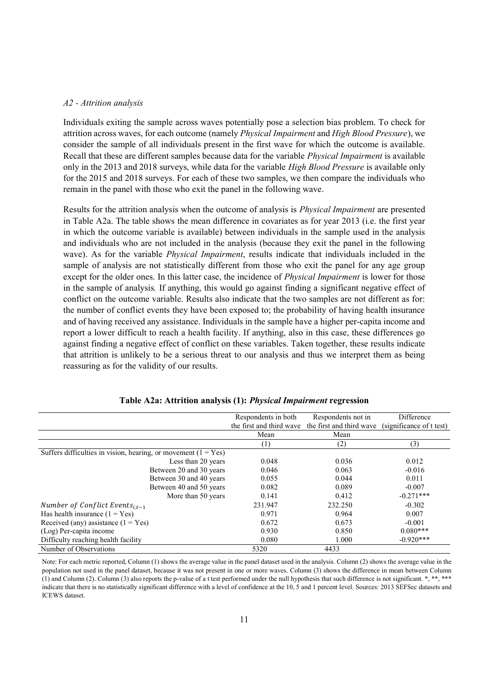#### *A2 - Attrition analysis*

Individuals exiting the sample across waves potentially pose a selection bias problem. To check for attrition across waves, for each outcome (namely *Physical Impairment* and *High Blood Pressure*), we consider the sample of all individuals present in the first wave for which the outcome is available. Recall that these are different samples because data for the variable *Physical Impairment* is available only in the 2013 and 2018 surveys, while data for the variable *High Blood Pressure* is available only for the 2015 and 2018 surveys. For each of these two samples, we then compare the individuals who remain in the panel with those who exit the panel in the following wave.

Results for the attrition analysis when the outcome of analysis is *Physical Impairment* are presented in Table A2a. The table shows the mean difference in covariates as for year 2013 (i.e. the first year in which the outcome variable is available) between individuals in the sample used in the analysis and individuals who are not included in the analysis (because they exit the panel in the following wave). As for the variable *Physical Impairment*, results indicate that individuals included in the sample of analysis are not statistically different from those who exit the panel for any age group except for the older ones. In this latter case, the incidence of *Physical Impairment* is lower for those in the sample of analysis*.* If anything, this would go against finding a significant negative effect of conflict on the outcome variable. Results also indicate that the two samples are not different as for: the number of conflict events they have been exposed to; the probability of having health insurance and of having received any assistance. Individuals in the sample have a higher per-capita income and report a lower difficult to reach a health facility. If anything, also in this case, these differences go against finding a negative effect of conflict on these variables. Taken together, these results indicate that attrition is unlikely to be a serious threat to our analysis and thus we interpret them as being reassuring as for the validity of our results.

|                                                                  | Respondents in both      | Respondents not in                                | Difference  |
|------------------------------------------------------------------|--------------------------|---------------------------------------------------|-------------|
|                                                                  | the first and third wave | the first and third wave (significance of t test) |             |
|                                                                  | Mean                     | Mean                                              |             |
|                                                                  | $\left(1\right)$         | (2)                                               | (3)         |
| Suffers difficulties in vision, hearing, or movement $(1 = Yes)$ |                          |                                                   |             |
| Less than 20 years                                               | 0.048                    | 0.036                                             | 0.012       |
| Between 20 and 30 years                                          | 0.046                    | 0.063                                             | $-0.016$    |
| Between 30 and 40 years                                          | 0.055                    | 0.044                                             | 0.011       |
| Between 40 and 50 years                                          | 0.082                    | 0.089                                             | $-0.007$    |
| More than 50 years                                               | 0.141                    | 0.412                                             | $-0.271***$ |
| Number of Conflict Events <sub>i.t-1</sub>                       | 231.947                  | 232.250                                           | $-0.302$    |
| Has health insurance $(1 = Yes)$                                 | 0.971                    | 0.964                                             | 0.007       |
| Received (any) assistance $(1 = Yes)$                            | 0.672                    | 0.673                                             | $-0.001$    |
| (Log) Per-capita income                                          | 0.930                    | 0.850                                             | $0.080***$  |
| Difficulty reaching health facility                              | 0.080                    | 1.000                                             | $-0.920***$ |
| Number of Observations                                           | 5320                     | 4433                                              |             |

#### **Table A2a: Attrition analysis (1):** *Physical Impairment* **regression**

Note: For each metric reported, Column (1) shows the average value in the panel dataset used in the analysis. Column (2) shows the average value in the population not used in the panel dataset, because it was not present in one or more waves. Column (3) shows the difference in mean between Column (1) and Column (2). Column (3) also reports the p-value of a t test performed under the null hypothesis that such difference is not significant. \*, \*\*, \*\*\* indicate that there is no statistically significant difference with a level of confidence at the 10, 5 and 1 percent level. Sources: 2013 SEFSec datasets and ICEWS dataset.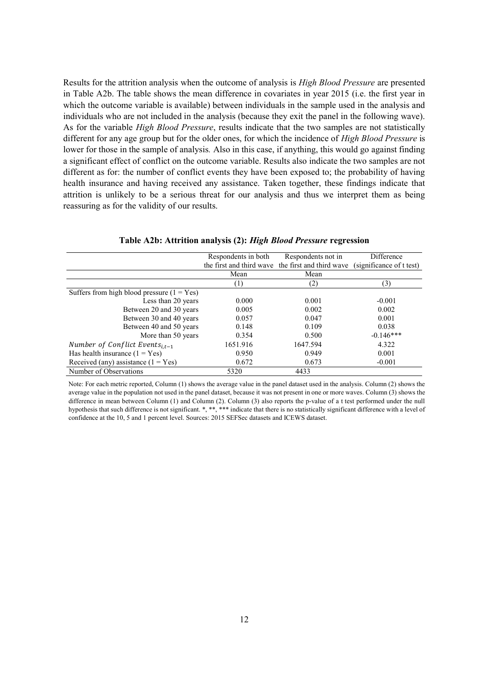Results for the attrition analysis when the outcome of analysis is *High Blood Pressure* are presented in Table A2b. The table shows the mean difference in covariates in year 2015 (i.e. the first year in which the outcome variable is available) between individuals in the sample used in the analysis and individuals who are not included in the analysis (because they exit the panel in the following wave). As for the variable *High Blood Pressure*, results indicate that the two samples are not statistically different for any age group but for the older ones, for which the incidence of *High Blood Pressure* is lower for those in the sample of analysis*.* Also in this case, if anything, this would go against finding a significant effect of conflict on the outcome variable. Results also indicate the two samples are not different as for: the number of conflict events they have been exposed to; the probability of having health insurance and having received any assistance. Taken together, these findings indicate that attrition is unlikely to be a serious threat for our analysis and thus we interpret them as being reassuring as for the validity of our results.

|                                              | Respondents in both | Respondents not in                                | Difference               |
|----------------------------------------------|---------------------|---------------------------------------------------|--------------------------|
|                                              |                     | the first and third wave the first and third wave | (significance of t test) |
|                                              | Mean                | Mean                                              |                          |
|                                              | (1)                 | (2)                                               | (3)                      |
| Suffers from high blood pressure $(1 = Yes)$ |                     |                                                   |                          |
| Less than 20 years                           | 0.000               | 0.001                                             | $-0.001$                 |
| Between 20 and 30 years                      | 0.005               | 0.002                                             | 0.002                    |
| Between 30 and 40 years                      | 0.057               | 0.047                                             | 0.001                    |
| Between 40 and 50 years                      | 0.148               | 0.109                                             | 0.038                    |
| More than 50 years                           | 0.354               | 0.500                                             | $-0.146***$              |
| Number of Conflict Events <sub>i.t-1</sub>   | 1651.916            | 1647.594                                          | 4.322                    |
| Has health insurance $(1 = Yes)$             | 0.950               | 0.949                                             | 0.001                    |
| Received (any) assistance $(1 = Yes)$        | 0.672               | 0.673                                             | $-0.001$                 |
| Number of Observations                       | 5320                | 4433                                              |                          |

# **Table A2b: Attrition analysis (2):** *High Blood Pressure* **regression**

Note: For each metric reported, Column (1) shows the average value in the panel dataset used in the analysis. Column (2) shows the average value in the population not used in the panel dataset, because it was not present in one or more waves. Column (3) shows the difference in mean between Column (1) and Column (2). Column (3) also reports the p-value of a t test performed under the null hypothesis that such difference is not significant. \*, \*\*, \*\*\* indicate that there is no statistically significant difference with a level of confidence at the 10, 5 and 1 percent level. Sources: 2015 SEFSec datasets and ICEWS dataset.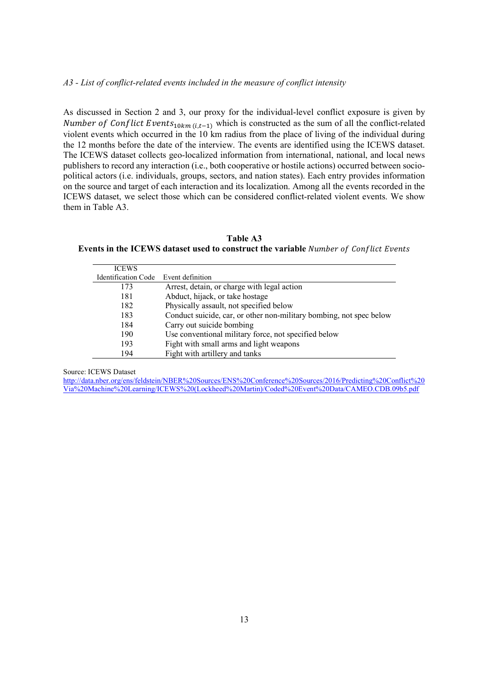#### *A3 - List of conflict-related events included in the measure of conflict intensity*

As discussed in Section 2 and 3, our proxy for the individual-level conflict exposure is given by Number of Conflict Events<sub>10km (i,t-1)</sub> which is constructed as the sum of all the conflict-related violent events which occurred in the 10 km radius from the place of living of the individual during the 12 months before the date of the interview. The events are identified using the ICEWS dataset. The ICEWS dataset collects geo-localized information from international, national, and local news publishers to record any interaction (i.e., both cooperative or hostile actions) occurred between sociopolitical actors (i.e. individuals, groups, sectors, and nation states). Each entry provides information on the source and target of each interaction and its localization. Among all the events recorded in the ICEWS dataset, we select those which can be considered conflict-related violent events. We show them in Table A3.

**Table A3 Events in the ICEWS dataset used to construct the variable** 

| <b>ICEWS</b>                         |                                                                     |
|--------------------------------------|---------------------------------------------------------------------|
| Identification Code Event definition |                                                                     |
| 173                                  | Arrest, detain, or charge with legal action                         |
| 181                                  | Abduct, hijack, or take hostage                                     |
| 182                                  | Physically assault, not specified below                             |
| 183                                  | Conduct suicide, car, or other non-military bombing, not spec below |
| 184                                  | Carry out suicide bombing                                           |
| 190                                  | Use conventional military force, not specified below                |
| 193                                  | Fight with small arms and light weapons                             |
| 194                                  | Fight with artillery and tanks                                      |

Source: ICEWS Dataset

http://data.nber.org/ens/feldstein/NBER%20Sources/ENS%20Conference%20Sources/2016/Predicting%20Conflict%20 Via%20Machine%20Learning/ICEWS%20(Lockheed%20Martin)/Coded%20Event%20Data/CAMEO.CDB.09b5.pdf